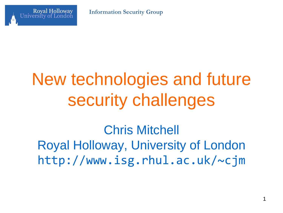



# New technologies and future security challenges

Chris Mitchell Royal Holloway, University of London http://www.isg.rhul.ac.uk/~cjm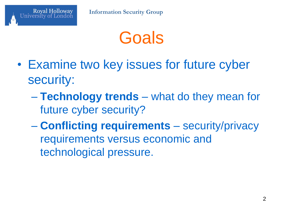

- Examine two key issues for future cyber security:
	- **Technology trends** what do they mean for future cyber security?
	- **Conflicting requirements** security/privacy requirements versus economic and technological pressure.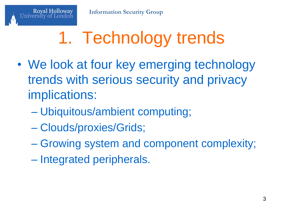# 1. Technology trends

- We look at four key emerging technology trends with serious security and privacy implications:
	- Ubiquitous/ambient computing;
	- Clouds/proxies/Grids;

- Growing system and component complexity;
- Integrated peripherals.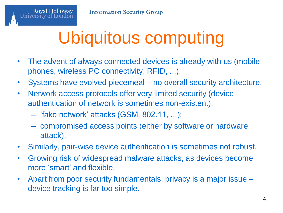Universi

# Ubiquitous computing

- The advent of always connected devices is already with us (mobile phones, wireless PC connectivity, RFID, ...).
- Systems have evolved piecemeal no overall security architecture.
- Network access protocols offer very limited security (device authentication of network is sometimes non-existent):
	- 'fake network' attacks (GSM, 802.11, ...);
	- compromised access points (either by software or hardware attack).
- Similarly, pair-wise device authentication is sometimes not robust.
- Growing risk of widespread malware attacks, as devices become more 'smart' and flexible.
- Apart from poor security fundamentals, privacy is a major issue device tracking is far too simple.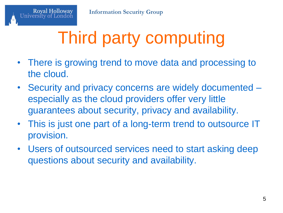# Third party computing

- There is growing trend to move data and processing to the cloud.
- Security and privacy concerns are widely documented especially as the cloud providers offer very little guarantees about security, privacy and availability.
- This is just one part of a long-term trend to outsource IT provision.
- Users of outsourced services need to start asking deep questions about security and availability.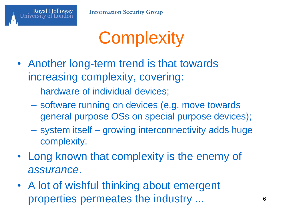

**Information Security Group**

# **Complexity**

- Another long-term trend is that towards increasing complexity, covering:
	- hardware of individual devices;
	- software running on devices (e.g. move towards general purpose OSs on special purpose devices);
	- system itself growing interconnectivity adds huge complexity.
- Long known that complexity is the enemy of *assurance*.
- A lot of wishful thinking about emergent properties permeates the industry ...  $\qquad \qquad$  6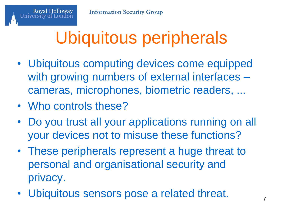# Ubiquitous peripherals

- Ubiquitous computing devices come equipped with growing numbers of external interfaces – cameras, microphones, biometric readers, ...
- Who controls these?

- Do you trust all your applications running on all your devices not to misuse these functions?
- These peripherals represent a huge threat to personal and organisational security and privacy.
- Ubiquitous sensors pose a related threat.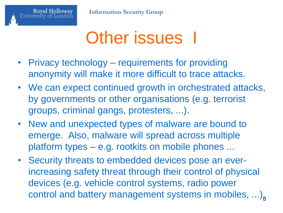

## Other issues 1

- Privacy technology requirements for providing anonymity will make it more difficult to trace attacks.
- We can expect continued growth in orchestrated attacks, by governments or other organisations (e.g. terrorist groups, criminal gangs, protesters, ...).
- New and unexpected types of malware are bound to emerge. Also, malware will spread across multiple platform types – e.g. rootkits on mobile phones ...
- Security threats to embedded devices pose an everincreasing safety threat through their control of physical devices (e.g. vehicle control systems, radio power control and battery management systems in mobiles,  $\ldots$ ),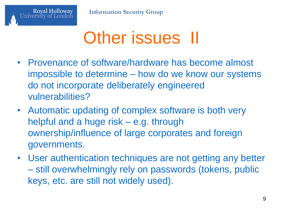

### Other issues II

- Provenance of software/hardware has become almost impossible to determine – how do we know our systems do not incorporate deliberately engineered vulnerabilities?
- Automatic updating of complex software is both very helpful and a huge risk – e.g. through ownership/influence of large corporates and foreign governments.
- User authentication techniques are not getting any better – still overwhelmingly rely on passwords (tokens, public keys, etc. are still not widely used).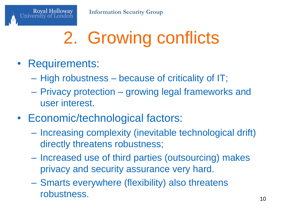# 2. Growing conflicts

• Requirements:

- High robustness because of criticality of IT;
- Privacy protection growing legal frameworks and user interest.
- Economic/technological factors:
	- Increasing complexity (inevitable technological drift) directly threatens robustness;
	- Increased use of third parties (outsourcing) makes privacy and security assurance very hard.
	- Smarts everywhere (flexibility) also threatens robustness.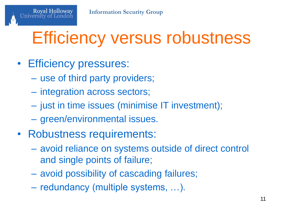# Efficiency versus robustness

#### • Efficiency pressures:

- use of third party providers;
- integration across sectors;
- just in time issues (minimise IT investment);
- green/environmental issues.
- Robustness requirements:
	- avoid reliance on systems outside of direct control and single points of failure;
	- avoid possibility of cascading failures;
	- redundancy (multiple systems, …).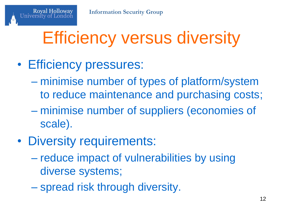# Efficiency versus diversity

### • Efficiency pressures:

- minimise number of types of platform/system to reduce maintenance and purchasing costs;
- minimise number of suppliers (economies of scale).
- Diversity requirements:
	- reduce impact of vulnerabilities by using diverse systems;
	- spread risk through diversity.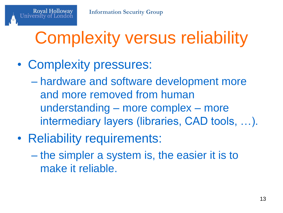# Complexity versus reliability

• Complexity pressures:

- hardware and software development more and more removed from human understanding – more complex – more intermediary layers (libraries, CAD tools, …).
- Reliability requirements:
	- the simpler a system is, the easier it is to make it reliable.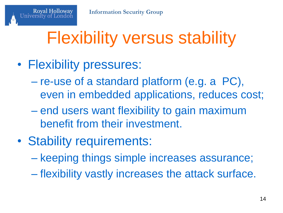# Flexibility versus stability

• Flexibility pressures:

- re-use of a standard platform (e.g. a PC), even in embedded applications, reduces cost;
- end users want flexibility to gain maximum benefit from their investment.
- Stability requirements:
	- keeping things simple increases assurance;
	- flexibility vastly increases the attack surface.